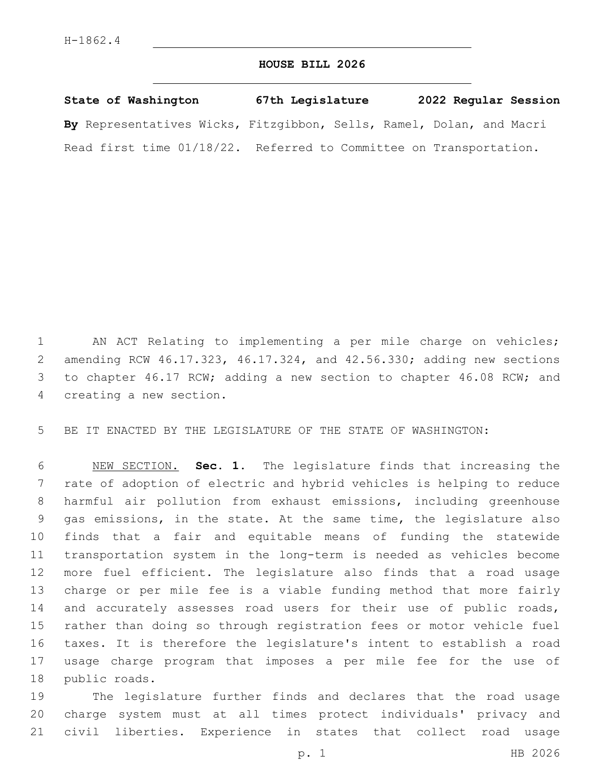## **HOUSE BILL 2026**

**State of Washington 67th Legislature 2022 Regular Session By** Representatives Wicks, Fitzgibbon, Sells, Ramel, Dolan, and Macri Read first time 01/18/22. Referred to Committee on Transportation.

 AN ACT Relating to implementing a per mile charge on vehicles; amending RCW 46.17.323, 46.17.324, and 42.56.330; adding new sections 3 to chapter 46.17 RCW; adding a new section to chapter 46.08 RCW; and 4 creating a new section.

BE IT ENACTED BY THE LEGISLATURE OF THE STATE OF WASHINGTON:

 NEW SECTION. **Sec. 1.** The legislature finds that increasing the rate of adoption of electric and hybrid vehicles is helping to reduce harmful air pollution from exhaust emissions, including greenhouse gas emissions, in the state. At the same time, the legislature also finds that a fair and equitable means of funding the statewide transportation system in the long-term is needed as vehicles become more fuel efficient. The legislature also finds that a road usage charge or per mile fee is a viable funding method that more fairly 14 and accurately assesses road users for their use of public roads, rather than doing so through registration fees or motor vehicle fuel taxes. It is therefore the legislature's intent to establish a road usage charge program that imposes a per mile fee for the use of public roads.

 The legislature further finds and declares that the road usage charge system must at all times protect individuals' privacy and civil liberties. Experience in states that collect road usage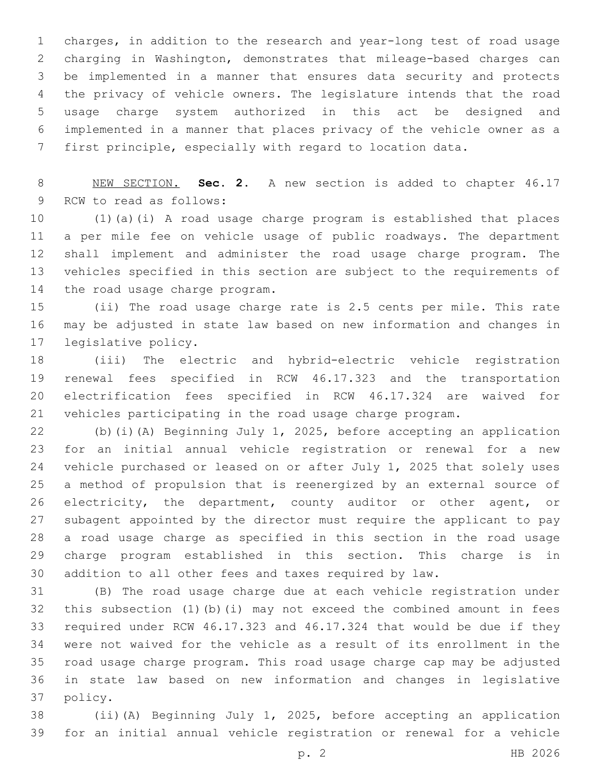charges, in addition to the research and year-long test of road usage charging in Washington, demonstrates that mileage-based charges can be implemented in a manner that ensures data security and protects the privacy of vehicle owners. The legislature intends that the road usage charge system authorized in this act be designed and implemented in a manner that places privacy of the vehicle owner as a first principle, especially with regard to location data.

 NEW SECTION. **Sec. 2.** A new section is added to chapter 46.17 9 RCW to read as follows:

 (1)(a)(i) A road usage charge program is established that places a per mile fee on vehicle usage of public roadways. The department shall implement and administer the road usage charge program. The vehicles specified in this section are subject to the requirements of 14 the road usage charge program.

 (ii) The road usage charge rate is 2.5 cents per mile. This rate may be adjusted in state law based on new information and changes in 17 legislative policy.

 (iii) The electric and hybrid-electric vehicle registration renewal fees specified in RCW 46.17.323 and the transportation electrification fees specified in RCW 46.17.324 are waived for vehicles participating in the road usage charge program.

 (b)(i)(A) Beginning July 1, 2025, before accepting an application for an initial annual vehicle registration or renewal for a new vehicle purchased or leased on or after July 1, 2025 that solely uses a method of propulsion that is reenergized by an external source of electricity, the department, county auditor or other agent, or subagent appointed by the director must require the applicant to pay a road usage charge as specified in this section in the road usage charge program established in this section. This charge is in addition to all other fees and taxes required by law.

 (B) The road usage charge due at each vehicle registration under this subsection (1)(b)(i) may not exceed the combined amount in fees required under RCW 46.17.323 and 46.17.324 that would be due if they were not waived for the vehicle as a result of its enrollment in the road usage charge program. This road usage charge cap may be adjusted in state law based on new information and changes in legislative 37 policy.

 (ii)(A) Beginning July 1, 2025, before accepting an application for an initial annual vehicle registration or renewal for a vehicle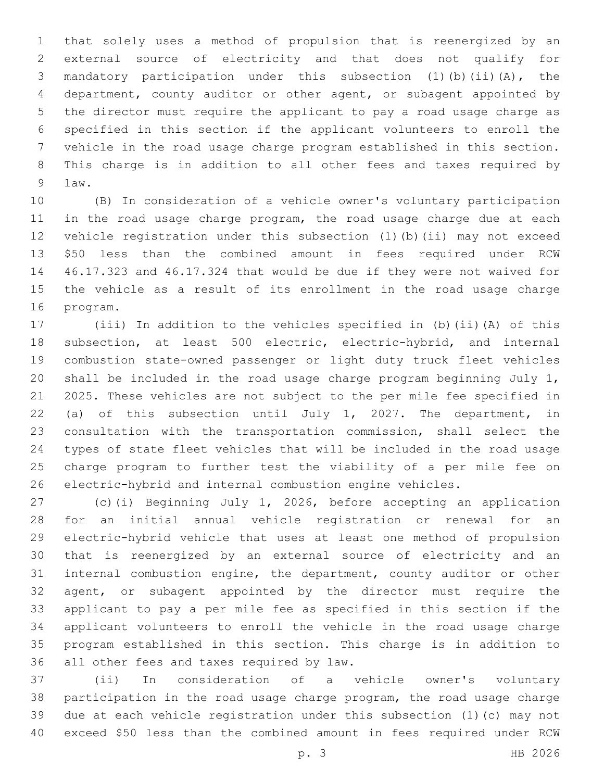that solely uses a method of propulsion that is reenergized by an external source of electricity and that does not qualify for mandatory participation under this subsection (1)(b)(ii)(A), the department, county auditor or other agent, or subagent appointed by the director must require the applicant to pay a road usage charge as specified in this section if the applicant volunteers to enroll the vehicle in the road usage charge program established in this section. This charge is in addition to all other fees and taxes required by 9 law.

 (B) In consideration of a vehicle owner's voluntary participation 11 in the road usage charge program, the road usage charge due at each vehicle registration under this subsection (1)(b)(ii) may not exceed \$50 less than the combined amount in fees required under RCW 46.17.323 and 46.17.324 that would be due if they were not waived for the vehicle as a result of its enrollment in the road usage charge 16 program.

 (iii) In addition to the vehicles specified in (b)(ii)(A) of this 18 subsection, at least 500 electric, electric-hybrid, and internal combustion state-owned passenger or light duty truck fleet vehicles shall be included in the road usage charge program beginning July 1, 2025. These vehicles are not subject to the per mile fee specified in (a) of this subsection until July 1, 2027. The department, in consultation with the transportation commission, shall select the types of state fleet vehicles that will be included in the road usage charge program to further test the viability of a per mile fee on electric-hybrid and internal combustion engine vehicles.

 (c)(i) Beginning July 1, 2026, before accepting an application for an initial annual vehicle registration or renewal for an electric-hybrid vehicle that uses at least one method of propulsion that is reenergized by an external source of electricity and an internal combustion engine, the department, county auditor or other agent, or subagent appointed by the director must require the applicant to pay a per mile fee as specified in this section if the applicant volunteers to enroll the vehicle in the road usage charge program established in this section. This charge is in addition to 36 all other fees and taxes required by law.

 (ii) In consideration of a vehicle owner's voluntary participation in the road usage charge program, the road usage charge due at each vehicle registration under this subsection (1)(c) may not exceed \$50 less than the combined amount in fees required under RCW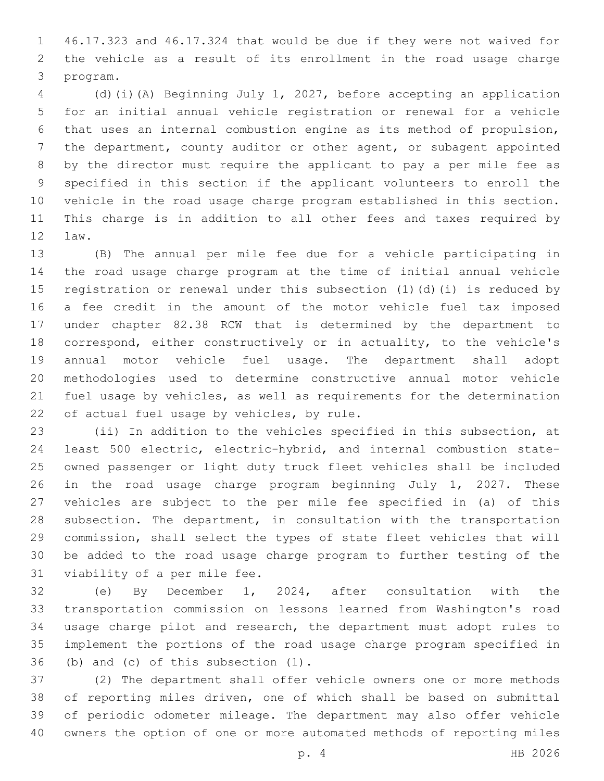46.17.323 and 46.17.324 that would be due if they were not waived for the vehicle as a result of its enrollment in the road usage charge 3 program.

 (d)(i)(A) Beginning July 1, 2027, before accepting an application for an initial annual vehicle registration or renewal for a vehicle that uses an internal combustion engine as its method of propulsion, the department, county auditor or other agent, or subagent appointed by the director must require the applicant to pay a per mile fee as specified in this section if the applicant volunteers to enroll the vehicle in the road usage charge program established in this section. This charge is in addition to all other fees and taxes required by 12 law.

 (B) The annual per mile fee due for a vehicle participating in the road usage charge program at the time of initial annual vehicle registration or renewal under this subsection (1)(d)(i) is reduced by a fee credit in the amount of the motor vehicle fuel tax imposed under chapter 82.38 RCW that is determined by the department to correspond, either constructively or in actuality, to the vehicle's annual motor vehicle fuel usage. The department shall adopt methodologies used to determine constructive annual motor vehicle fuel usage by vehicles, as well as requirements for the determination 22 of actual fuel usage by vehicles, by rule.

 (ii) In addition to the vehicles specified in this subsection, at least 500 electric, electric-hybrid, and internal combustion state- owned passenger or light duty truck fleet vehicles shall be included in the road usage charge program beginning July 1, 2027. These vehicles are subject to the per mile fee specified in (a) of this 28 subsection. The department, in consultation with the transportation commission, shall select the types of state fleet vehicles that will be added to the road usage charge program to further testing of the 31 viability of a per mile fee.

 (e) By December 1, 2024, after consultation with the transportation commission on lessons learned from Washington's road usage charge pilot and research, the department must adopt rules to implement the portions of the road usage charge program specified in  $(1)$  and  $(c)$  of this subsection  $(1)$ .

 (2) The department shall offer vehicle owners one or more methods of reporting miles driven, one of which shall be based on submittal of periodic odometer mileage. The department may also offer vehicle owners the option of one or more automated methods of reporting miles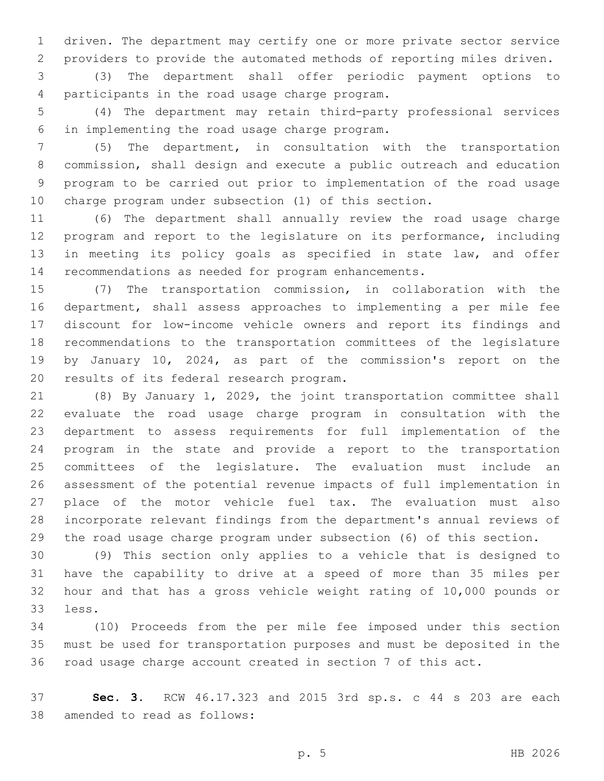driven. The department may certify one or more private sector service providers to provide the automated methods of reporting miles driven.

 (3) The department shall offer periodic payment options to 4 participants in the road usage charge program.

 (4) The department may retain third-party professional services in implementing the road usage charge program.6

 (5) The department, in consultation with the transportation commission, shall design and execute a public outreach and education program to be carried out prior to implementation of the road usage charge program under subsection (1) of this section.

 (6) The department shall annually review the road usage charge program and report to the legislature on its performance, including 13 in meeting its policy goals as specified in state law, and offer recommendations as needed for program enhancements.

 (7) The transportation commission, in collaboration with the department, shall assess approaches to implementing a per mile fee discount for low-income vehicle owners and report its findings and recommendations to the transportation committees of the legislature by January 10, 2024, as part of the commission's report on the 20 results of its federal research program.

 (8) By January 1, 2029, the joint transportation committee shall evaluate the road usage charge program in consultation with the department to assess requirements for full implementation of the program in the state and provide a report to the transportation committees of the legislature. The evaluation must include an assessment of the potential revenue impacts of full implementation in place of the motor vehicle fuel tax. The evaluation must also incorporate relevant findings from the department's annual reviews of the road usage charge program under subsection (6) of this section.

 (9) This section only applies to a vehicle that is designed to have the capability to drive at a speed of more than 35 miles per hour and that has a gross vehicle weight rating of 10,000 pounds or 33 less.

 (10) Proceeds from the per mile fee imposed under this section must be used for transportation purposes and must be deposited in the road usage charge account created in section 7 of this act.

 **Sec. 3.** RCW 46.17.323 and 2015 3rd sp.s. c 44 s 203 are each 38 amended to read as follows:

p. 5 HB 2026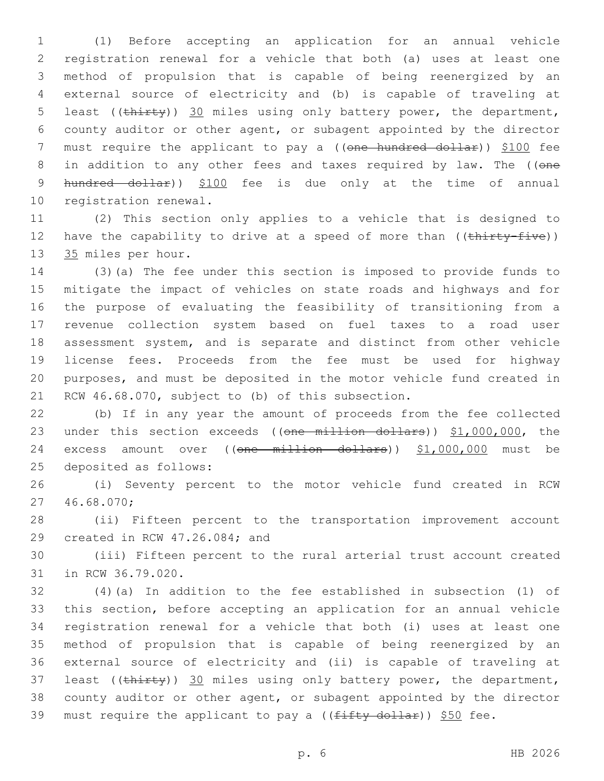1 (1) Before accepting an application for an annual vehicle 2 registration renewal for a vehicle that both (a) uses at least one 3 method of propulsion that is capable of being reenergized by an 4 external source of electricity and (b) is capable of traveling at 5 least ((thirty)) 30 miles using only battery power, the department, 6 county auditor or other agent, or subagent appointed by the director 7 must require the applicant to pay a ((one hundred dollar)) \$100 fee 8 in addition to any other fees and taxes required by law. The ((one 9 hundred dollar)) \$100 fee is due only at the time of annual 10 registration renewal.

11 (2) This section only applies to a vehicle that is designed to 12 have the capability to drive at a speed of more than  $((\text{thirty-five}))$ 13 35 miles per hour.

 (3)(a) The fee under this section is imposed to provide funds to mitigate the impact of vehicles on state roads and highways and for the purpose of evaluating the feasibility of transitioning from a revenue collection system based on fuel taxes to a road user assessment system, and is separate and distinct from other vehicle license fees. Proceeds from the fee must be used for highway purposes, and must be deposited in the motor vehicle fund created in 21 RCW 46.68.070, subject to (b) of this subsection.

22 (b) If in any year the amount of proceeds from the fee collected 23 under this section exceeds ((one million dollars)) \$1,000,000, the 24 excess amount over ((one million dollars)) \$1,000,000 must be 25 deposited as follows:

26 (i) Seventy percent to the motor vehicle fund created in RCW 46.68.070;27

28 (ii) Fifteen percent to the transportation improvement account 29 created in RCW 47.26.084; and

30 (iii) Fifteen percent to the rural arterial trust account created 31 in RCW 36.79.020.

 (4)(a) In addition to the fee established in subsection (1) of this section, before accepting an application for an annual vehicle registration renewal for a vehicle that both (i) uses at least one method of propulsion that is capable of being reenergized by an external source of electricity and (ii) is capable of traveling at 37 least ((thirty)) 30 miles using only battery power, the department, county auditor or other agent, or subagent appointed by the director 39 must require the applicant to pay a ( $(f$ ifty dollar)) \$50 fee.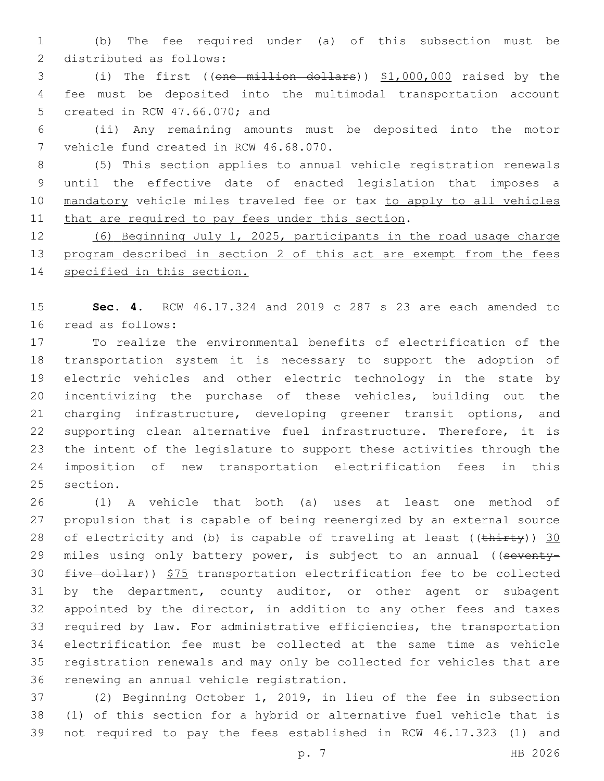(b) The fee required under (a) of this subsection must be 2 distributed as follows:

 (i) The first ((one million dollars)) \$1,000,000 raised by the fee must be deposited into the multimodal transportation account 5 created in RCW 47.66.070; and

 (ii) Any remaining amounts must be deposited into the motor 7 vehicle fund created in RCW 46.68.070.

 (5) This section applies to annual vehicle registration renewals until the effective date of enacted legislation that imposes a 10 mandatory vehicle miles traveled fee or tax to apply to all vehicles 11 that are required to pay fees under this section.

 (6) Beginning July 1, 2025, participants in the road usage charge 13 program described in section 2 of this act are exempt from the fees specified in this section.

 **Sec. 4.** RCW 46.17.324 and 2019 c 287 s 23 are each amended to 16 read as follows:

 To realize the environmental benefits of electrification of the transportation system it is necessary to support the adoption of electric vehicles and other electric technology in the state by incentivizing the purchase of these vehicles, building out the charging infrastructure, developing greener transit options, and supporting clean alternative fuel infrastructure. Therefore, it is the intent of the legislature to support these activities through the imposition of new transportation electrification fees in this 25 section.

 (1) A vehicle that both (a) uses at least one method of propulsion that is capable of being reenergized by an external source 28 of electricity and (b) is capable of traveling at least ( $(\text{thirty})$ ) 30 29 miles using only battery power, is subject to an annual ((seventy- five dollar)) \$75 transportation electrification fee to be collected by the department, county auditor, or other agent or subagent 32 appointed by the director, in addition to any other fees and taxes required by law. For administrative efficiencies, the transportation electrification fee must be collected at the same time as vehicle registration renewals and may only be collected for vehicles that are 36 renewing an annual vehicle registration.

 (2) Beginning October 1, 2019, in lieu of the fee in subsection (1) of this section for a hybrid or alternative fuel vehicle that is not required to pay the fees established in RCW 46.17.323 (1) and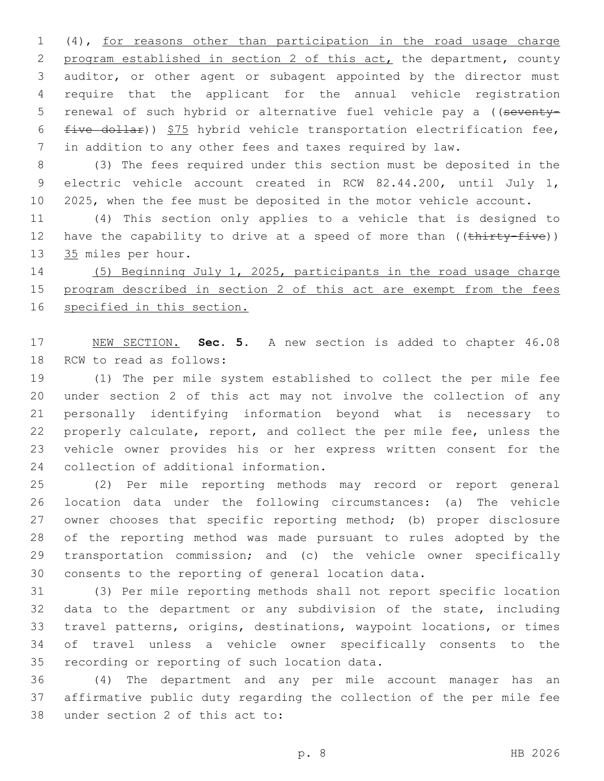(4), for reasons other than participation in the road usage charge program established in section 2 of this act, the department, county auditor, or other agent or subagent appointed by the director must require that the applicant for the annual vehicle registration 5 renewal of such hybrid or alternative fuel vehicle pay a ((seventy- $five$  dollar))  $$75$  hybrid vehicle transportation electrification fee, in addition to any other fees and taxes required by law.

 (3) The fees required under this section must be deposited in the electric vehicle account created in RCW 82.44.200, until July 1, 2025, when the fee must be deposited in the motor vehicle account.

 (4) This section only applies to a vehicle that is designed to 12 have the capability to drive at a speed of more than ((thirty-five)) 13 35 miles per hour.

 (5) Beginning July 1, 2025, participants in the road usage charge 15 program described in section 2 of this act are exempt from the fees specified in this section.

 NEW SECTION. **Sec. 5.** A new section is added to chapter 46.08 18 RCW to read as follows:

 (1) The per mile system established to collect the per mile fee under section 2 of this act may not involve the collection of any personally identifying information beyond what is necessary to properly calculate, report, and collect the per mile fee, unless the vehicle owner provides his or her express written consent for the 24 collection of additional information.

 (2) Per mile reporting methods may record or report general location data under the following circumstances: (a) The vehicle owner chooses that specific reporting method; (b) proper disclosure of the reporting method was made pursuant to rules adopted by the transportation commission; and (c) the vehicle owner specifically consents to the reporting of general location data.

 (3) Per mile reporting methods shall not report specific location data to the department or any subdivision of the state, including travel patterns, origins, destinations, waypoint locations, or times of travel unless a vehicle owner specifically consents to the 35 recording or reporting of such location data.

 (4) The department and any per mile account manager has an affirmative public duty regarding the collection of the per mile fee 38 under section 2 of this act to: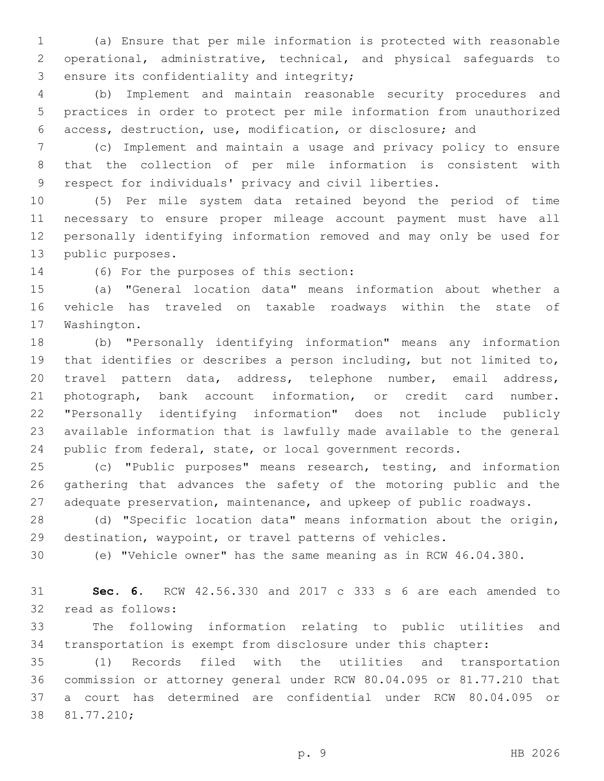(a) Ensure that per mile information is protected with reasonable operational, administrative, technical, and physical safeguards to 3 ensure its confidentiality and integrity;

 (b) Implement and maintain reasonable security procedures and practices in order to protect per mile information from unauthorized access, destruction, use, modification, or disclosure; and

 (c) Implement and maintain a usage and privacy policy to ensure that the collection of per mile information is consistent with respect for individuals' privacy and civil liberties.

 (5) Per mile system data retained beyond the period of time necessary to ensure proper mileage account payment must have all personally identifying information removed and may only be used for 13 public purposes.

14 (6) For the purposes of this section:

 (a) "General location data" means information about whether a vehicle has traveled on taxable roadways within the state of 17 Washington.

 (b) "Personally identifying information" means any information that identifies or describes a person including, but not limited to, travel pattern data, address, telephone number, email address, photograph, bank account information, or credit card number. "Personally identifying information" does not include publicly available information that is lawfully made available to the general public from federal, state, or local government records.

 (c) "Public purposes" means research, testing, and information gathering that advances the safety of the motoring public and the adequate preservation, maintenance, and upkeep of public roadways.

 (d) "Specific location data" means information about the origin, destination, waypoint, or travel patterns of vehicles.

(e) "Vehicle owner" has the same meaning as in RCW 46.04.380.

 **Sec. 6.** RCW 42.56.330 and 2017 c 333 s 6 are each amended to 32 read as follows:

 The following information relating to public utilities and transportation is exempt from disclosure under this chapter:

 (1) Records filed with the utilities and transportation commission or attorney general under RCW 80.04.095 or 81.77.210 that a court has determined are confidential under RCW 80.04.095 or 38 81.77.210;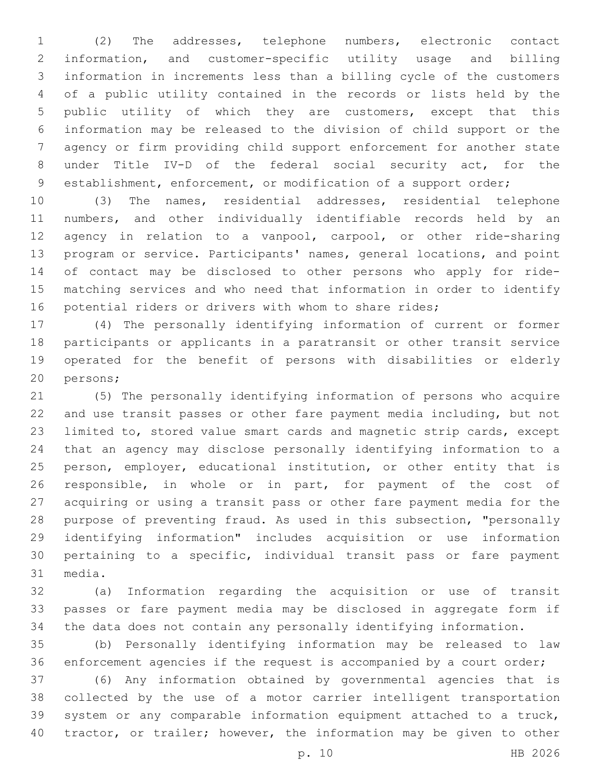(2) The addresses, telephone numbers, electronic contact information, and customer-specific utility usage and billing information in increments less than a billing cycle of the customers of a public utility contained in the records or lists held by the public utility of which they are customers, except that this information may be released to the division of child support or the agency or firm providing child support enforcement for another state under Title IV-D of the federal social security act, for the establishment, enforcement, or modification of a support order;

 (3) The names, residential addresses, residential telephone numbers, and other individually identifiable records held by an agency in relation to a vanpool, carpool, or other ride-sharing program or service. Participants' names, general locations, and point of contact may be disclosed to other persons who apply for ride- matching services and who need that information in order to identify 16 potential riders or drivers with whom to share rides;

 (4) The personally identifying information of current or former participants or applicants in a paratransit or other transit service operated for the benefit of persons with disabilities or elderly 20 persons;

 (5) The personally identifying information of persons who acquire and use transit passes or other fare payment media including, but not limited to, stored value smart cards and magnetic strip cards, except that an agency may disclose personally identifying information to a 25 person, employer, educational institution, or other entity that is responsible, in whole or in part, for payment of the cost of acquiring or using a transit pass or other fare payment media for the purpose of preventing fraud. As used in this subsection, "personally identifying information" includes acquisition or use information pertaining to a specific, individual transit pass or fare payment 31 media.

 (a) Information regarding the acquisition or use of transit passes or fare payment media may be disclosed in aggregate form if the data does not contain any personally identifying information.

 (b) Personally identifying information may be released to law enforcement agencies if the request is accompanied by a court order; (6) Any information obtained by governmental agencies that is collected by the use of a motor carrier intelligent transportation system or any comparable information equipment attached to a truck, tractor, or trailer; however, the information may be given to other

p. 10 HB 2026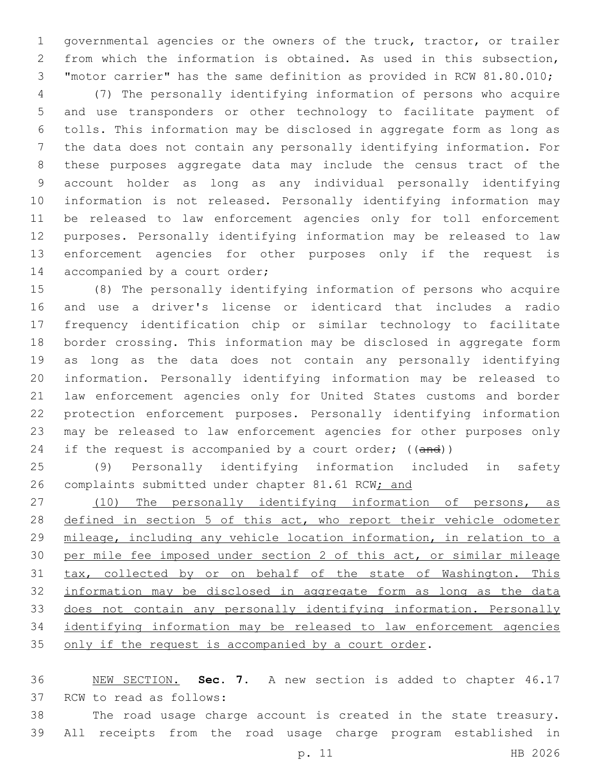governmental agencies or the owners of the truck, tractor, or trailer from which the information is obtained. As used in this subsection, "motor carrier" has the same definition as provided in RCW 81.80.010;

 (7) The personally identifying information of persons who acquire and use transponders or other technology to facilitate payment of tolls. This information may be disclosed in aggregate form as long as the data does not contain any personally identifying information. For these purposes aggregate data may include the census tract of the account holder as long as any individual personally identifying information is not released. Personally identifying information may be released to law enforcement agencies only for toll enforcement purposes. Personally identifying information may be released to law enforcement agencies for other purposes only if the request is 14 accompanied by a court order;

 (8) The personally identifying information of persons who acquire and use a driver's license or identicard that includes a radio frequency identification chip or similar technology to facilitate border crossing. This information may be disclosed in aggregate form as long as the data does not contain any personally identifying information. Personally identifying information may be released to law enforcement agencies only for United States customs and border protection enforcement purposes. Personally identifying information may be released to law enforcement agencies for other purposes only 24 if the request is accompanied by a court order;  $((and))$ 

 (9) Personally identifying information included in safety 26 complaints submitted under chapter 81.61 RCW; and

27 (10) The personally identifying information of persons, as 28 defined in section 5 of this act, who report their vehicle odometer 29 mileage, including any vehicle location information, in relation to a per mile fee imposed under section 2 of this act, or similar mileage tax, collected by or on behalf of the state of Washington. This information may be disclosed in aggregate form as long as the data does not contain any personally identifying information. Personally identifying information may be released to law enforcement agencies 35 only if the request is accompanied by a court order.

 NEW SECTION. **Sec. 7.** A new section is added to chapter 46.17 37 RCW to read as follows:

 The road usage charge account is created in the state treasury. All receipts from the road usage charge program established in